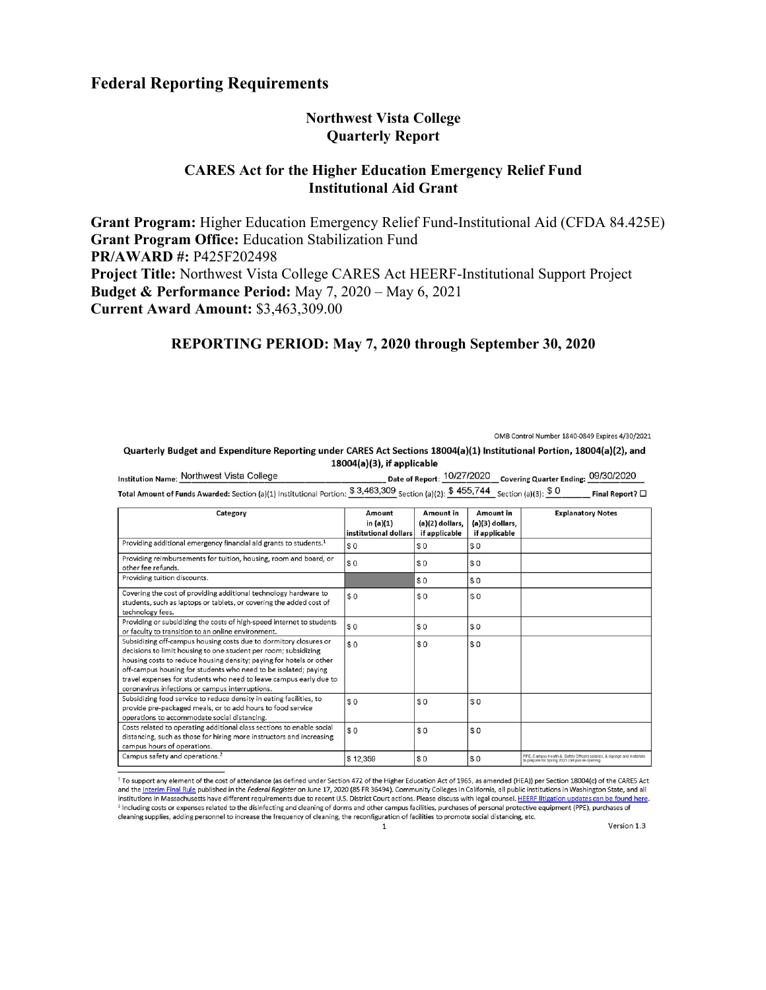## **Federal Reporting Requirements**

### **Northwest Vista College Quarterly Report**

### **CARES Act for the Higher Education Emergency Relief Fund Institutional Aid Grant**

**Grant Program:** Higher Education Emergency Relief Fund-Institutional Aid (CFDA 84.425E) **Grant Program Office:** Education Stabilization Fund **PR/AWARD #:** P425F202498 **Project Title:** Northwest Vista College CARES Act HEERF-Institutional Support Project **Budget & Performance Period:** May 7, 2020 – May 6, 2021 **Current Award Amount:** \$3,463,309.00

# **REPORTING PERIOD: May 7, 2020 through September 30, 2020**

OMB Control Number 1840-0849 Expires 4/30/2021

Quarterly Budget and Expenditure Reporting under CARES Act Sections 18004(a)(1) Institutional Portion, 18004(a)(2), and 18004(a)(3), if applicable

| Institution Name: Northwest Vista College                                                                                                                     | Date of Report: 10/27/2020 Covering Quarter Ending: 09/30/2020 |                 |
|---------------------------------------------------------------------------------------------------------------------------------------------------------------|----------------------------------------------------------------|-----------------|
| Total Amount of Funds Awarded: Section (a)(1) Institutional Portion: $\$$ 3,463,309 $_{\rm Section \,(a)(2):}$ $\$$ 455,744 $_{\rm Section \,(a)(3):}$ $\$$ 0 |                                                                | Final Report? □ |

| Category                                                                                                                                                                                                                                                                                                                                                                                                | Amount                             | Amount in                          | Amount in                          | <b>Explanatory Notes</b>                                                                                               |
|---------------------------------------------------------------------------------------------------------------------------------------------------------------------------------------------------------------------------------------------------------------------------------------------------------------------------------------------------------------------------------------------------------|------------------------------------|------------------------------------|------------------------------------|------------------------------------------------------------------------------------------------------------------------|
|                                                                                                                                                                                                                                                                                                                                                                                                         | in (a)(1)<br>institutional dollars | $(a)(2)$ dollars,<br>if applicable | $(a)(3)$ dollars,<br>if applicable |                                                                                                                        |
| Providing additional emergency financial aid grants to students. <sup>1</sup>                                                                                                                                                                                                                                                                                                                           | \$0                                | \$0                                | \$0                                |                                                                                                                        |
| Providing reimbursements for tuition, housing, room and board, or<br>other fee refunds.                                                                                                                                                                                                                                                                                                                 | \$0                                | \$0                                | \$0                                |                                                                                                                        |
| Providing tuition discounts.                                                                                                                                                                                                                                                                                                                                                                            |                                    | \$0                                | \$0                                |                                                                                                                        |
| Covering the cost of providing additional technology hardware to<br>students, such as laptops or tablets, or covering the added cost of<br>technology fees.                                                                                                                                                                                                                                             | \$0                                | \$0                                | \$0                                |                                                                                                                        |
| Providing or subsidizing the costs of high-speed internet to students<br>or faculty to transition to an online environment.                                                                                                                                                                                                                                                                             | \$0                                | \$0                                | \$0                                |                                                                                                                        |
| Subsidizing off-campus housing costs due to dormitory closures or<br>decisions to limit housing to one student per room; subsidizing<br>housing costs to reduce housing density; paying for hotels or other<br>off-campus housing for students who need to be isolated; paying<br>travel expenses for students who need to leave campus early due to<br>coronavirus infections or campus interruptions. | \$0                                | \$0                                | \$0                                |                                                                                                                        |
| Subsidizing food service to reduce density in eating facilities, to<br>provide pre-packaged meals, or to add hours to food service<br>operations to accommodate social distancing.                                                                                                                                                                                                                      | \$0                                | \$0                                | \$0                                |                                                                                                                        |
| Costs related to operating additional class sections to enable social<br>distancing, such as those for hiring more instructors and increasing<br>campus hours of operations.                                                                                                                                                                                                                            | \$0                                | \$0                                | \$0                                |                                                                                                                        |
| Campus safety and operations. <sup>2</sup>                                                                                                                                                                                                                                                                                                                                                              | \$12,359                           | \$0                                | \$0                                | PPE, Campus Health & Safety Officers salaries, & signage and materials<br>to prepare for Spring 2021 campus re-opening |

<sup>1</sup> To support any element of the cost of attendance (as defined under Section 472 of the Higher Education Act of 1965, as amended (HEA)) per Section 18004(c) of the CARES Act and the Interim Final Rule published in the Federal Register on June 17, 2020 (85 FR 36494). Community Colleges in California, all public institutions in Washington State, and all institutions in Massachusetts have different requirements due to recent U.S. District Court actions. Please discuss with legal counsel. HEERF litigation updates can be found here. <sup>2</sup> Including costs or expenses related to the disinfecting and cleaning of dorms and other campus facilities, purchases of personal protective equipment (PPE), purchases of cleaning supplies, adding personnel to increase the frequency of cleaning, the reconfiguration of facilities to promote social distancing, etc.

Version 1.3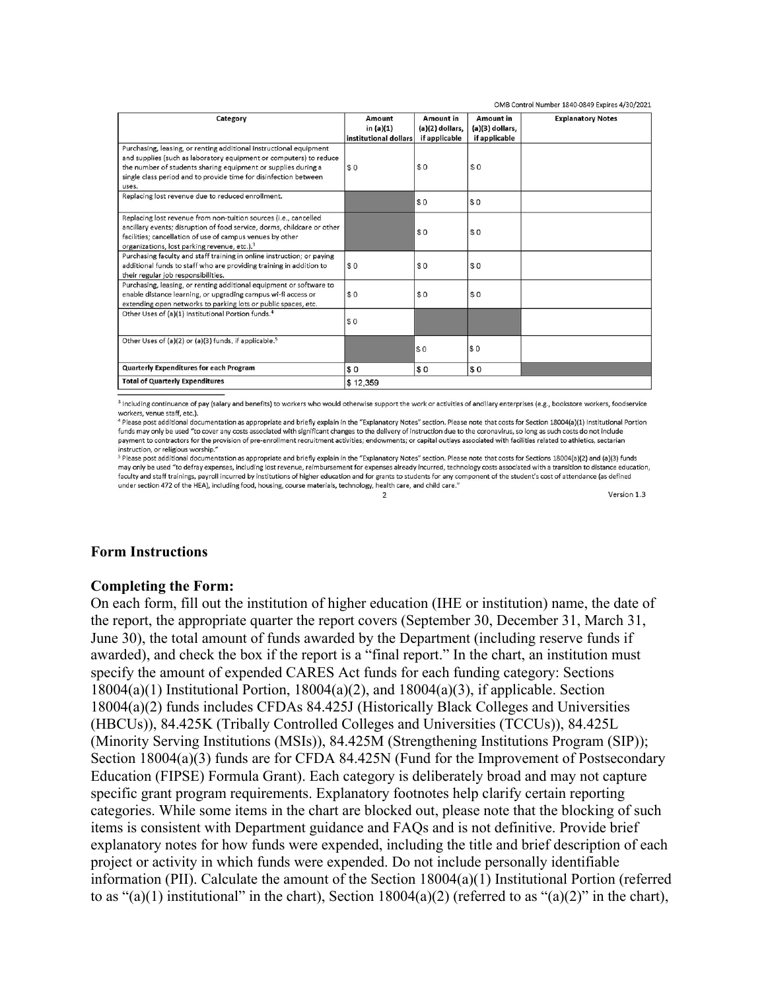| OMB Control Number 1840-0849 Expires 4/30/2021                                                                                                                                                                                                                                         |                                                |                                                 |                                               |                          |
|----------------------------------------------------------------------------------------------------------------------------------------------------------------------------------------------------------------------------------------------------------------------------------------|------------------------------------------------|-------------------------------------------------|-----------------------------------------------|--------------------------|
| Category                                                                                                                                                                                                                                                                               | Amount<br>in $(a)(1)$<br>institutional dollars | Amount in<br>$(a)(2)$ dollars,<br>if applicable | Amount in<br>(a)(3) dollars,<br>if applicable | <b>Explanatory Notes</b> |
| Purchasing, leasing, or renting additional instructional equipment<br>and supplies (such as laboratory equipment or computers) to reduce<br>the number of students sharing equipment or supplies during a<br>single class period and to provide time for disinfection between<br>uses. | \$0                                            | \$0                                             | \$0                                           |                          |
| Replacing lost revenue due to reduced enrollment.                                                                                                                                                                                                                                      |                                                | \$0                                             | \$0                                           |                          |
| Replacing lost revenue from non-tuition sources (i.e., cancelled<br>ancillary events; disruption of food service, dorms, childcare or other<br>facilities; cancellation of use of campus venues by other<br>organizations, lost parking revenue, etc.). <sup>3</sup>                   |                                                | \$0                                             | \$0                                           |                          |
| Purchasing faculty and staff training in online instruction; or paying<br>additional funds to staff who are providing training in addition to<br>their regular job responsibilities.                                                                                                   | \$0                                            | \$0                                             | \$0                                           |                          |
| Purchasing, leasing, or renting additional equipment or software to<br>enable distance learning, or upgrading campus wi-fi access or<br>extending open networks to parking lots or public spaces, etc.                                                                                 | \$0                                            | \$0                                             | \$0                                           |                          |
| Other Uses of (a)(1) Institutional Portion funds. <sup>4</sup>                                                                                                                                                                                                                         | \$0                                            |                                                 |                                               |                          |
| Other Uses of (a)(2) or (a)(3) funds, if applicable. <sup>5</sup>                                                                                                                                                                                                                      |                                                | \$0                                             | s <sub>0</sub>                                |                          |
| <b>Quarterly Expenditures for each Program</b>                                                                                                                                                                                                                                         | \$0                                            | \$0                                             | s <sub>0</sub>                                |                          |
| <b>Total of Quarterly Expenditures</b>                                                                                                                                                                                                                                                 | \$12,359                                       |                                                 |                                               |                          |

<sup>3</sup> Including continuance of pay (salary and benefits) to workers who would otherwise support the work or activities of ancillary enterprises (e.g., bookstore workers, foodservice workers, venue staff, etc.).

<sup>4</sup> Please post additional documentation as appropriate and briefly explain in the "Explanatory Notes" section. Please note that costs for Section 18004(a)(1) Institutional Portion funds may only be used "to cover any costs associated with significant changes to the delivery of instruction due to the coronavirus, so long as such costs do not include payment to contractors for the provision of pre-enrollment recruitment activities; endowments: or capital outlays associated with facilities related to athletics, sectarian instruction, or religious worship.'

<sup>5</sup> Please post additional documentation as appropriate and briefly explain in the "Explanatory Notes" section. Please note that costs for Sections 18004(a)(2) and (a)(3) funds may only be used "to defray expenses, including lost revenue, reimbursement for expenses already incurred, technology costs associated with a transition to distance education, faculty and staff trainings, payroll incurred by institutions of higher education and for grants to students for any component of the student's cost of attendance (as defined under section 472 of the HEA), including food, housing, course materials, technology, health care, and child care."  $\overline{2}$ 

Version 1.3

#### **Form Instructions**

#### **Completing the Form:**

On each form, fill out the institution of higher education (IHE or institution) name, the date of the report, the appropriate quarter the report covers (September 30, December 31, March 31, June 30), the total amount of funds awarded by the Department (including reserve funds if awarded), and check the box if the report is a "final report." In the chart, an institution must specify the amount of expended CARES Act funds for each funding category: Sections  $18004(a)(1)$  Institutional Portion,  $18004(a)(2)$ , and  $18004(a)(3)$ , if applicable. Section 18004(a)(2) funds includes CFDAs 84.425J (Historically Black Colleges and Universities (HBCUs)), 84.425K (Tribally Controlled Colleges and Universities (TCCUs)), 84.425L (Minority Serving Institutions (MSIs)), 84.425M (Strengthening Institutions Program (SIP)); Section 18004(a)(3) funds are for CFDA 84.425N (Fund for the Improvement of Postsecondary Education (FIPSE) Formula Grant). Each category is deliberately broad and may not capture specific grant program requirements. Explanatory footnotes help clarify certain reporting categories. While some items in the chart are blocked out, please note that the blocking of such items is consistent with Department guidance and FAQs and is not definitive. Provide brief explanatory notes for how funds were expended, including the title and brief description of each project or activity in which funds were expended. Do not include personally identifiable information (PII). Calculate the amount of the Section 18004(a)(1) Institutional Portion (referred to as " $(a)(1)$  institutional" in the chart), Section 18004 $(a)(2)$  (referred to as " $(a)(2)$ " in the chart),